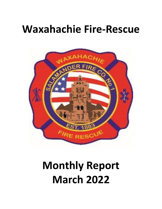## **Waxahachie Fire-Rescue**



# **Monthly Report March 2022**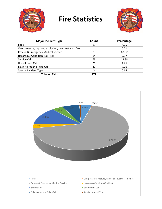

### **Fire Statistics**



| <b>Major Incident Type</b>                           | Count | Percentage |
|------------------------------------------------------|-------|------------|
| <b>Fires</b>                                         | 19    | 4.25       |
| Overpressure, rupture, explosion, overheat – no fire |       | 0.21       |
| Rescue & Emergency Medical Service                   | 318   | 67.52      |
| Hazardous Condition (No Fire)                        | 14    | 2.97       |
| Service Call                                         | 63    | 13.38      |
| <b>Good Intent Call</b>                              | 20    | 4.25       |
| False Alarm and False Call                           | 32    | 6.79       |
| Special Incident Type                                | 3     | 0.64       |
| <b>Total All Calls</b>                               | 471   |            |

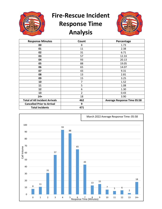

## **Fire-Rescue Incident Response Time Analysis**



| <b>Response Minutes</b>               | Count          | Percentage                         |
|---------------------------------------|----------------|------------------------------------|
| 00                                    | 8              | 1.73                               |
| 01                                    | 11             | 2.38                               |
| 02                                    | 31             | 6.71                               |
| 03                                    | 57             | 12.33                              |
| 04                                    | 93             | 20.13                              |
| 05                                    | 88             | 19.05                              |
| 06                                    | 65             | 14.07                              |
| 07                                    | 43             | 9.31                               |
| 08                                    | 13             | 2.81                               |
| 09                                    | 15             | 3.25                               |
| 10                                    | 7              | 1.52                               |
| 11                                    | 5              | 1.08                               |
| 12                                    | 6              | 1.30                               |
| 13                                    | $\overline{2}$ | 0.43                               |
| $14+$                                 | 18             | 3.90                               |
| <b>Total of All Incident Arrivals</b> | 462            | <b>Average Response Time 05:58</b> |
| <b>Cancelled Prior to Arrival</b>     | 9              |                                    |
| <b>Total Incidents</b>                | 471            |                                    |

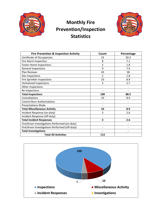

#### **Monthly Fire Prevention/Inspection Statistics**



| <b>Fire Prevention &amp; Inspection Activity</b> | Count          | Percentage |
|--------------------------------------------------|----------------|------------|
| <b>Certificate of Occupancies</b>                | 23             | 20.3       |
| Fire Alarm Inspection                            | 8              | 7.1        |
| <b>Foster Home Inspections</b>                   | $\overline{2}$ | 1.8        |
| <b>General Inspections</b>                       | 9              | 7.9        |
| <b>Plan Reviews</b>                              | 43             | 38         |
| Site Inspections                                 | $\overline{2}$ | 1.8        |
| Fire Sprinkler Inspections                       | 10             | 8.9        |
| Ventahood Inspections                            | 3              | 2.7        |
| Other Inspections                                |                |            |
| Re-Inspections                                   |                |            |
| <b>Total Inspections</b>                         | 100            | 88.5       |
| Consultations                                    | 10             | 8.9        |
| <b>Control Burn Authorizations</b>               |                |            |
| <b>Presentations Made</b>                        |                |            |
| <b>Total Miscellaneous Activity</b>              | 10             | 8.9        |
| Incident Response (on-duty)                      | 3              | 2.6        |
| Incident Response (off-duty)                     |                |            |
| <b>Total Incident Responses</b>                  | 3              | 2.6        |
| Fire/Arson Investigations Performed (on-duty)    |                |            |
| Fire/Arson Investigations Performed (off-duty)   |                |            |
| <b>Total Investigations</b>                      |                |            |
| <b>Total All Activities</b>                      | 113            |            |